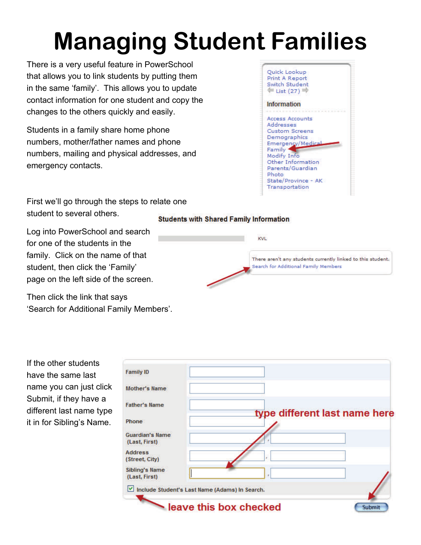## **Managing Student Families**

There is a very useful feature in PowerSchool that allows you to link students by putting them in the same 'family'. This allows you to update contact information for one student and copy the changes to the others quickly and easily.

Students in a family share home phone numbers, mother/father names and phone numbers, mailing and physical addresses, and emergency contacts.

Quick Lookup Print A Report Switch Student  $=$  List (27)  $=$ Information Access Accounts Addresses **Custom Screens** Demographics **Emergency/Medic** Family \* Modify Info Other Information Parents/Guardian Photo State/Province - AK Transportation

First we'll go through the steps to relate one student to several others.

**Students with Shared Family Information** 

Log into PowerSchool and search for one of the students in the family. Click on the name of that student, then click the 'Family' page on the left side of the screen.

Then click the link that says 'Search for Additional Family Members'.



If the other students have the same last name you can just click Submit, if they have a different last name type it in for Sibling's Name.

| <b>Family ID</b>                               |                               |
|------------------------------------------------|-------------------------------|
| <b>Mother's Name</b>                           |                               |
| <b>Father's Name</b>                           | type different last name here |
| Phone                                          |                               |
| <b>Guardian's Name</b><br>(Last, First)        |                               |
| <b>Address</b><br>(Street, City)               |                               |
| Sibling's Name<br>(Last, First)                | ٧                             |
| Include Student's Last Name (Adams) In Search. |                               |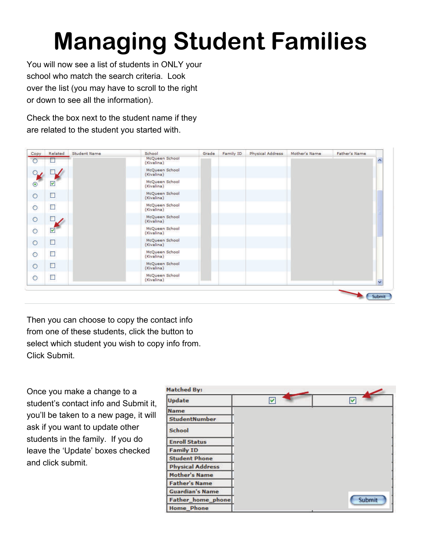## **Managing Student Families**

You will now see a list of students in ONLY your school who match the search criteria. Look over the list (you may have to scroll to the right or down to see all the information).

Check the box next to the student name if they are related to the student you started with.

| Copy           | Related | <b>Student Name</b> | School                       | Grade | Family ID | Physical Address | Mother's Name | Father's Name |                      |
|----------------|---------|---------------------|------------------------------|-------|-----------|------------------|---------------|---------------|----------------------|
| O              |         |                     | McQueen School<br>(Kivalina) |       |           |                  |               |               | へ                    |
| $\circ$ .      |         |                     | McQueen School<br>(Kivalina) |       |           |                  |               |               |                      |
| $_{\odot}$     | M       |                     | McQueen School<br>(Kivalina) |       |           |                  |               |               |                      |
| $\circ$        | $\Box$  |                     | McQueen School<br>(Kivalina) |       |           |                  |               |               |                      |
| $\ddot{\circ}$ | □       |                     | McQueen School<br>(Kivalina) |       |           |                  |               |               |                      |
| $\circ$        |         |                     | McQueen School<br>(Kivalina) |       |           |                  |               |               |                      |
| $\circ$        | M       |                     | McQueen School<br>(Kivalina) |       |           |                  |               |               |                      |
| $\circ$        | Ξ       |                     | McQueen School<br>(Kivalina) |       |           |                  |               |               |                      |
| $\circ$        | □       |                     | McQueen School<br>(Kivalina) |       |           |                  |               |               |                      |
| $\circ$        | □       |                     | McQueen School<br>(Kivalina) |       |           |                  |               |               |                      |
| $\circ$        | ▉       |                     | McQueen School<br>(Kivalina) |       |           |                  |               |               | $\ddot{\phantom{0}}$ |

Then you can choose to copy the contact info from one of these students, click the button to select which student you wish to copy info from. Click Submit.

Once you make a change to a student's contact info and Submit it, you'll be taken to a new page, it will ask if you want to update other students in the family. If you do leave the 'Update' boxes checked and click submit.

| <b>Matched By:</b>       |   |        |  |
|--------------------------|---|--------|--|
| Update                   | V | V      |  |
| <b>Name</b>              |   |        |  |
| <b>StudentNumber</b>     |   |        |  |
| <b>School</b>            |   |        |  |
| <b>Enroll Status</b>     |   |        |  |
| <b>Family ID</b>         |   |        |  |
| <b>Student Phone</b>     |   |        |  |
| <b>Physical Address</b>  |   |        |  |
| <b>Mother's Name</b>     |   |        |  |
| <b>Father's Name</b>     |   |        |  |
| <b>Guardian's Name</b>   |   |        |  |
| <b>Father_home_phone</b> |   | Submit |  |
| <b>Home Phone</b>        |   |        |  |